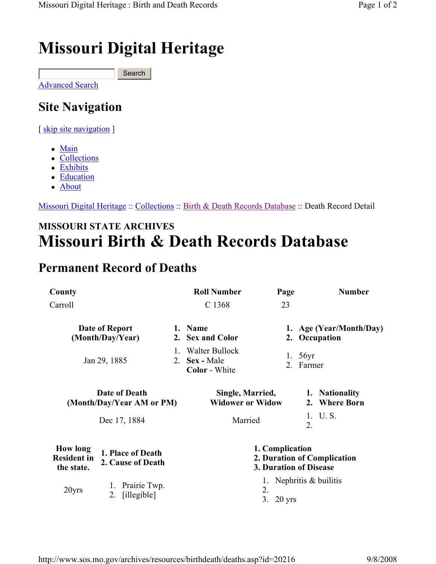## Missouri Digital Heritage

Advanced Search Search

## Site Navigation

[ skip site navigation ]

- Main
- Collections
- Exhibits
- Education
- About

Missouri Digital Heritage :: Collections :: Birth & Death Records Database :: Death Record Detail

## MISSOURI STATE ARCHIVES Missouri Birth & Death Records Database

## Permanent Record of Deaths

| County                                              |                                        |                             | <b>Roll Number</b>                                                       | Page                                     | <b>Number</b>                   |
|-----------------------------------------------------|----------------------------------------|-----------------------------|--------------------------------------------------------------------------|------------------------------------------|---------------------------------|
| Carroll                                             |                                        |                             | C 1368                                                                   | 23                                       |                                 |
| Date of Report<br>(Month/Day/Year)                  |                                        | 1. Name<br>2. Sex and Color |                                                                          | 1. Age (Year/Month/Day)<br>2. Occupation |                                 |
|                                                     | Jan 29, 1885                           |                             | Walter Bullock<br>2. Sex - Male<br><b>Color</b> - White                  |                                          | 1. $56yr$<br>2. Farmer          |
| Date of Death<br>(Month/Day/Year AM or PM)          |                                        |                             | Single, Married,<br><b>Widower or Widow</b>                              |                                          | 1. Nationality<br>2. Where Born |
|                                                     | Dec 17, 1884                           |                             | Married                                                                  |                                          | 1. U.S.<br>2.                   |
| <b>How long</b><br><b>Resident in</b><br>the state. | 1. Place of Death<br>2. Cause of Death |                             | 1. Complication<br>2. Duration of Complication<br>3. Duration of Disease |                                          |                                 |
| 20yrs                                               | Prairie Twp.<br>[illegible]<br>2.      |                             |                                                                          | 2.<br>3.<br>$20$ yrs                     | 1. Nephritis $&$ builitis       |